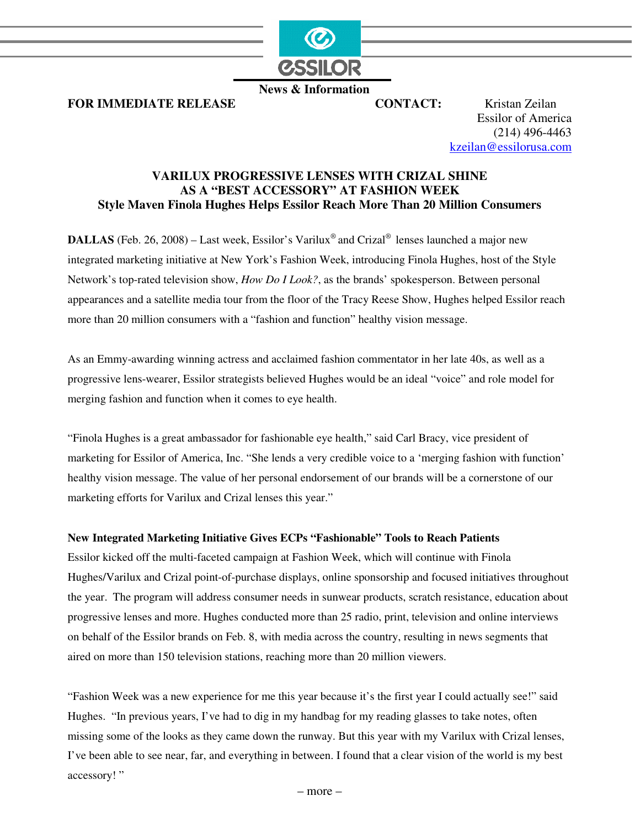

 **News & Information**

**FOR IMMEDIATE RELEASE CONTACT:** Kristan Zeilan

Essilor of America (214) 496-4463 kzeilan@essilorusa.com

# **VARILUX PROGRESSIVE LENSES WITH CRIZAL SHINE AS A "BEST ACCESSORY" AT FASHION WEEK Style Maven Finola Hughes Helps Essilor Reach More Than 20 Million Consumers**

**DALLAS** (Feb. 26, 2008) – Last week, Essilor's Varilux<sup>®</sup> and Crizal<sup>®</sup> lenses launched a major new integrated marketing initiative at New York's Fashion Week, introducing Finola Hughes, host of the Style Network's top-rated television show, *How Do I Look?*, as the brands' spokesperson. Between personal appearances and a satellite media tour from the floor of the Tracy Reese Show, Hughes helped Essilor reach more than 20 million consumers with a "fashion and function" healthy vision message.

As an Emmy-awarding winning actress and acclaimed fashion commentator in her late 40s, as well as a progressive lens-wearer, Essilor strategists believed Hughes would be an ideal "voice" and role model for merging fashion and function when it comes to eye health.

"Finola Hughes is a great ambassador for fashionable eye health," said Carl Bracy, vice president of marketing for Essilor of America, Inc. "She lends a very credible voice to a 'merging fashion with function' healthy vision message. The value of her personal endorsement of our brands will be a cornerstone of our marketing efforts for Varilux and Crizal lenses this year."

# **New Integrated Marketing Initiative Gives ECPs "Fashionable" Tools to Reach Patients**

Essilor kicked off the multi-faceted campaign at Fashion Week, which will continue with Finola Hughes/Varilux and Crizal point-of-purchase displays, online sponsorship and focused initiatives throughout the year. The program will address consumer needs in sunwear products, scratch resistance, education about progressive lenses and more. Hughes conducted more than 25 radio, print, television and online interviews on behalf of the Essilor brands on Feb. 8, with media across the country, resulting in news segments that aired on more than 150 television stations, reaching more than 20 million viewers.

"Fashion Week was a new experience for me this year because it's the first year I could actually see!" said Hughes. "In previous years, I've had to dig in my handbag for my reading glasses to take notes, often missing some of the looks as they came down the runway. But this year with my Varilux with Crizal lenses, I've been able to see near, far, and everything in between. I found that a clear vision of the world is my best accessory! "